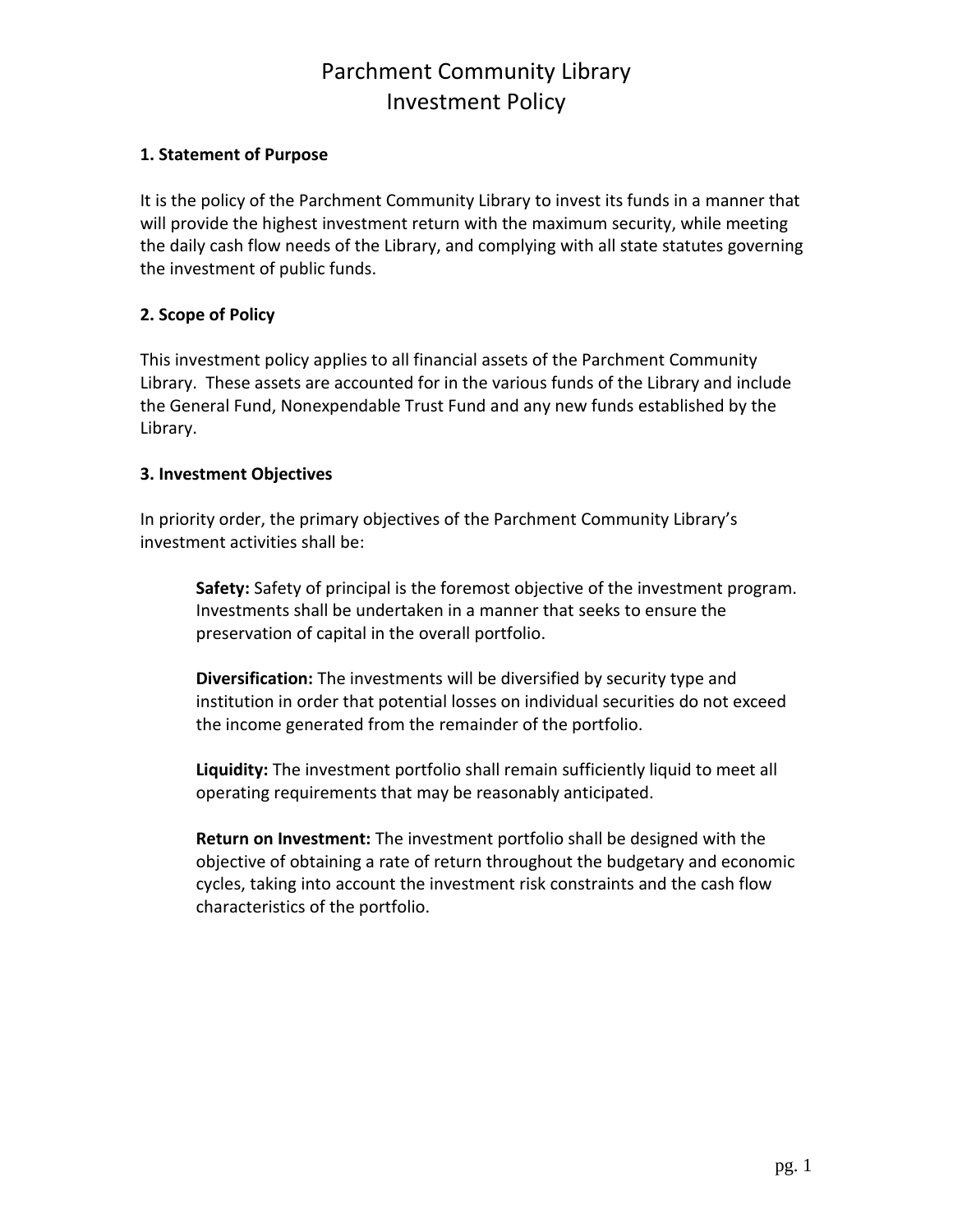### **1. Statement of Purpose**

It is the policy of the Parchment Community Library to invest its funds in a manner that will provide the highest investment return with the maximum security, while meeting the daily cash flow needs of the Library, and complying with all state statutes governing the investment of public funds.

### **2. Scope of Policy**

This investment policy applies to all financial assets of the Parchment Community Library. These assets are accounted for in the various funds of the Library and include the General Fund, Nonexpendable Trust Fund and any new funds established by the Library.

### **3. Investment Objectives**

In priority order, the primary objectives of the Parchment Community Library's investment activities shall be:

**Safety:** Safety of principal is the foremost objective of the investment program. Investments shall be undertaken in a manner that seeks to ensure the preservation of capital in the overall portfolio.

**Diversification:** The investments will be diversified by security type and institution in order that potential losses on individual securities do not exceed the income generated from the remainder of the portfolio.

**Liquidity:** The investment portfolio shall remain sufficiently liquid to meet all operating requirements that may be reasonably anticipated.

**Return on Investment:** The investment portfolio shall be designed with the objective of obtaining a rate of return throughout the budgetary and economic cycles, taking into account the investment risk constraints and the cash flow characteristics of the portfolio.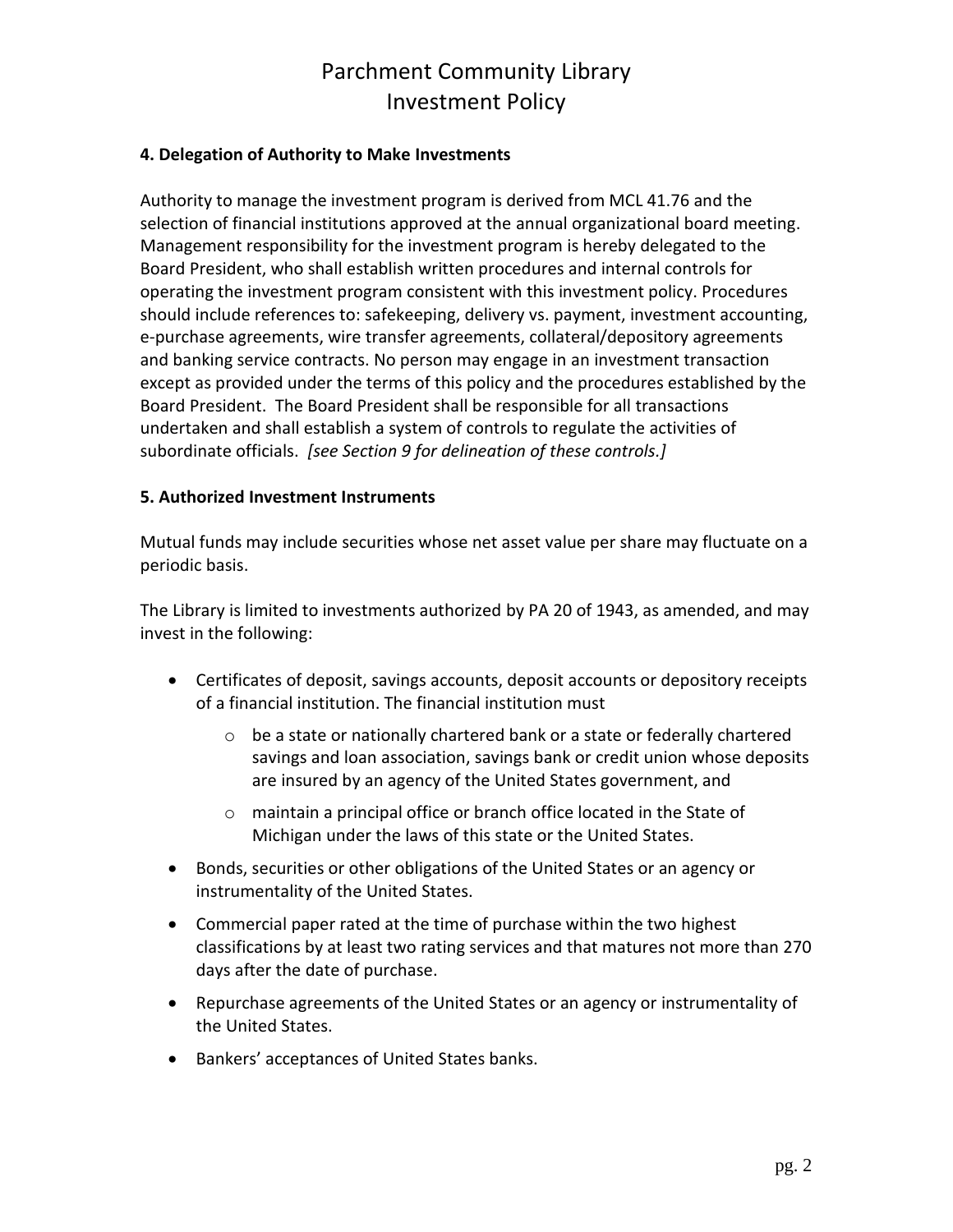### **4. Delegation of Authority to Make Investments**

Authority to manage the investment program is derived from MCL 41.76 and the selection of financial institutions approved at the annual organizational board meeting. Management responsibility for the investment program is hereby delegated to the Board President, who shall establish written procedures and internal controls for operating the investment program consistent with this investment policy. Procedures should include references to: safekeeping, delivery vs. payment, investment accounting, e-purchase agreements, wire transfer agreements, collateral/depository agreements and banking service contracts. No person may engage in an investment transaction except as provided under the terms of this policy and the procedures established by the Board President. The Board President shall be responsible for all transactions undertaken and shall establish a system of controls to regulate the activities of subordinate officials. *[see Section 9 for delineation of these controls.]*

#### **5. Authorized Investment Instruments**

Mutual funds may include securities whose net asset value per share may fluctuate on a periodic basis.

The Library is limited to investments authorized by PA 20 of 1943, as amended, and may invest in the following:

- Certificates of deposit, savings accounts, deposit accounts or depository receipts of a financial institution. The financial institution must
	- o be a state or nationally chartered bank or a state or federally chartered savings and loan association, savings bank or credit union whose deposits are insured by an agency of the United States government, and
	- o maintain a principal office or branch office located in the State of Michigan under the laws of this state or the United States.
- Bonds, securities or other obligations of the United States or an agency or instrumentality of the United States.
- Commercial paper rated at the time of purchase within the two highest classifications by at least two rating services and that matures not more than 270 days after the date of purchase.
- Repurchase agreements of the United States or an agency or instrumentality of the United States.
- Bankers' acceptances of United States banks.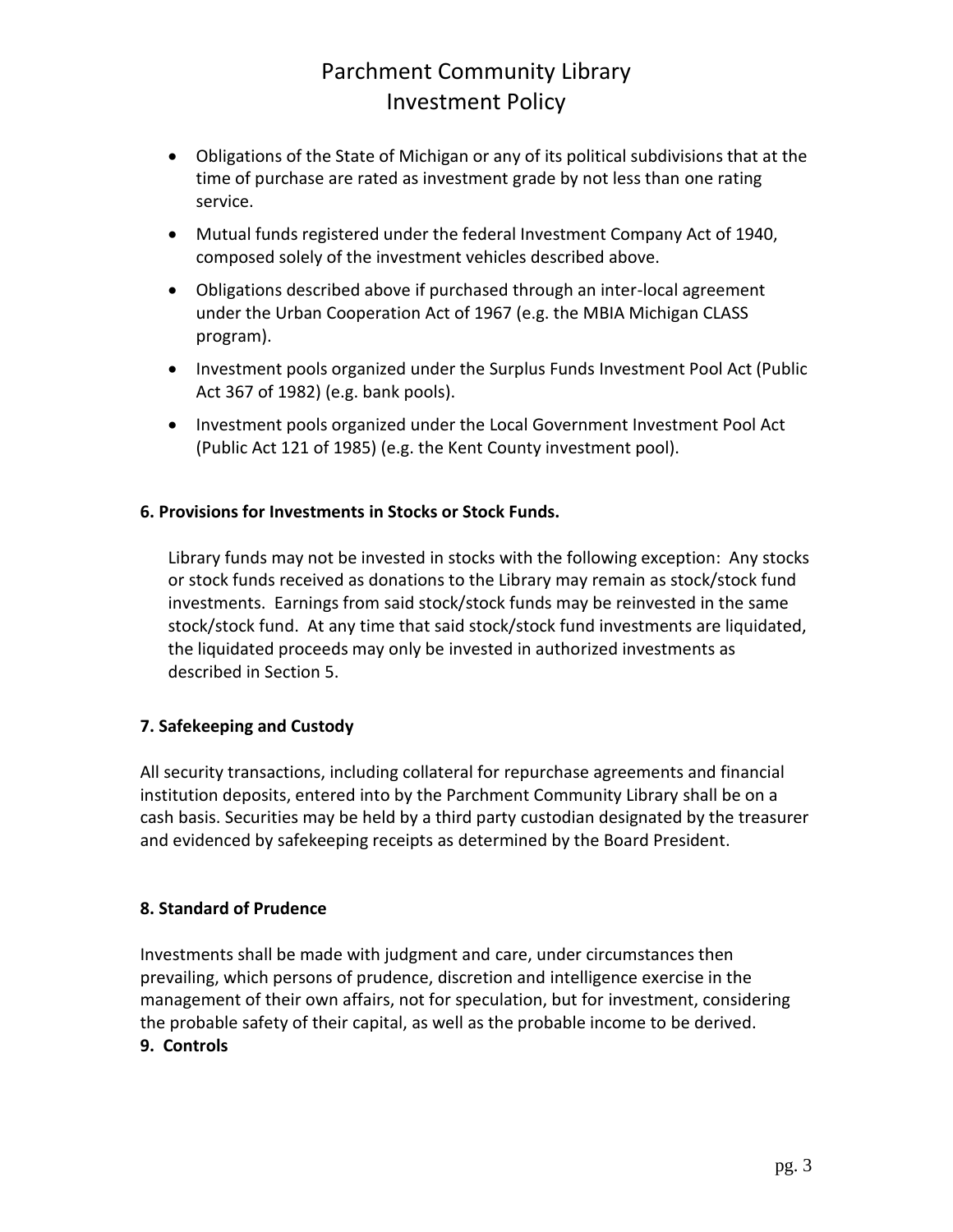- Obligations of the State of Michigan or any of its political subdivisions that at the time of purchase are rated as investment grade by not less than one rating service.
- Mutual funds registered under the federal Investment Company Act of 1940, composed solely of the investment vehicles described above.
- Obligations described above if purchased through an inter-local agreement under the Urban Cooperation Act of 1967 (e.g. the MBIA Michigan CLASS program).
- Investment pools organized under the Surplus Funds Investment Pool Act (Public Act 367 of 1982) (e.g. bank pools).
- Investment pools organized under the Local Government Investment Pool Act (Public Act 121 of 1985) (e.g. the Kent County investment pool).

## **6. Provisions for Investments in Stocks or Stock Funds.**

Library funds may not be invested in stocks with the following exception: Any stocks or stock funds received as donations to the Library may remain as stock/stock fund investments. Earnings from said stock/stock funds may be reinvested in the same stock/stock fund. At any time that said stock/stock fund investments are liquidated, the liquidated proceeds may only be invested in authorized investments as described in Section 5.

# **7. Safekeeping and Custody**

All security transactions, including collateral for repurchase agreements and financial institution deposits, entered into by the Parchment Community Library shall be on a cash basis. Securities may be held by a third party custodian designated by the treasurer and evidenced by safekeeping receipts as determined by the Board President.

## **8. Standard of Prudence**

Investments shall be made with judgment and care, under circumstances then prevailing, which persons of prudence, discretion and intelligence exercise in the management of their own affairs, not for speculation, but for investment, considering the probable safety of their capital, as well as the probable income to be derived. **9. Controls**